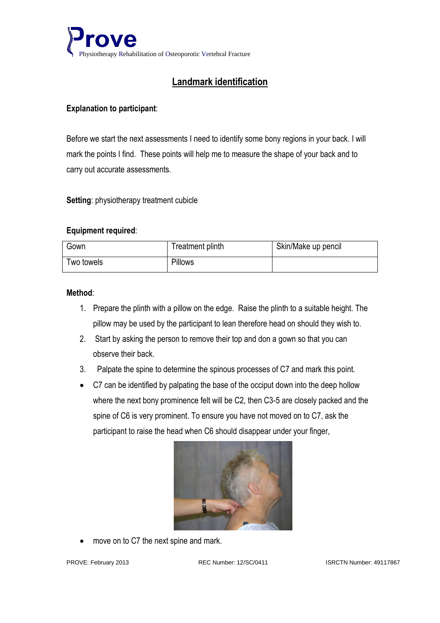

# **Landmark identification**

## **Explanation to participant**:

Before we start the next assessments I need to identify some bony regions in your back. I will mark the points I find. These points will help me to measure the shape of your back and to carry out accurate assessments.

### **Setting**: physiotherapy treatment cubicle

### **Equipment required**:

| Gown       | Treatment plinth | Skin/Make up pencil |
|------------|------------------|---------------------|
| Two towels | Pillows          |                     |

#### **Method**:

- 1. Prepare the plinth with a pillow on the edge. Raise the plinth to a suitable height. The pillow may be used by the participant to lean therefore head on should they wish to.
- 2. Start by asking the person to remove their top and don a gown so that you can observe their back.
- 3. Palpate the spine to determine the spinous processes of C7 and mark this point.
- C7 can be identified by palpating the base of the occiput down into the deep hollow where the next bony prominence felt will be C2, then C3-5 are closely packed and the spine of C6 is very prominent. To ensure you have not moved on to C7, ask the participant to raise the head when C6 should disappear under your finger,



move on to C7 the next spine and mark.